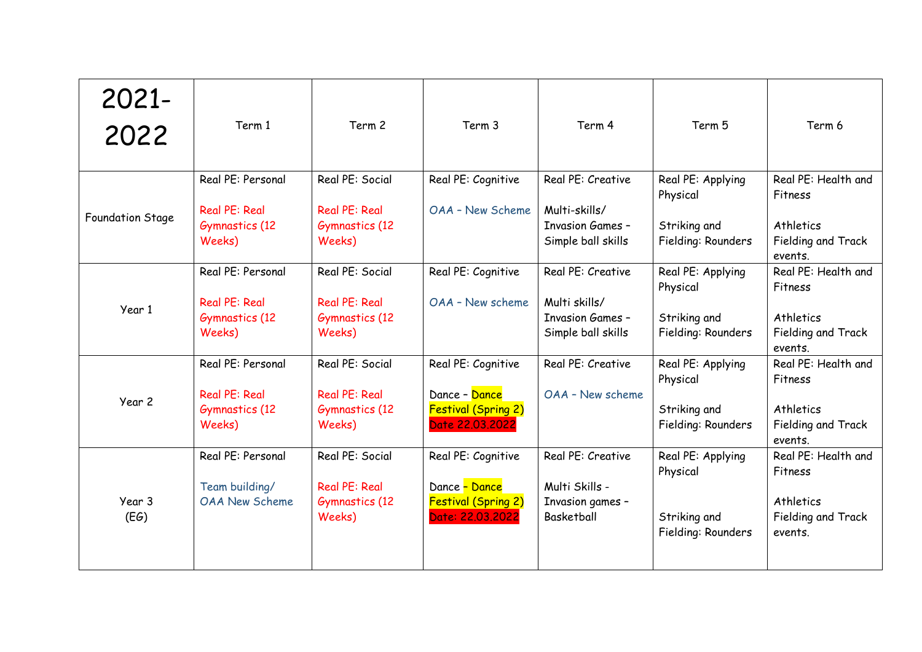| 2021-<br>2022    | Term 1                                                                       | Term 2                                                                     | Term 3                                                                                | Term 4                                                                              | Term 5                                                              | Term 6                                                                       |
|------------------|------------------------------------------------------------------------------|----------------------------------------------------------------------------|---------------------------------------------------------------------------------------|-------------------------------------------------------------------------------------|---------------------------------------------------------------------|------------------------------------------------------------------------------|
| Foundation Stage | Real PE: Personal<br><b>Real PE: Real</b><br>Gymnastics (12<br>Weeks)        | Real PE: Social<br><b>Real PE: Real</b><br><b>Gymnastics (12</b><br>Weeks) | Real PE: Cognitive<br>OAA - New Scheme                                                | Real PE: Creative<br>Multi-skills/<br><b>Invasion Games -</b><br>Simple ball skills | Real PE: Applying<br>Physical<br>Striking and<br>Fielding: Rounders | Real PE: Health and<br>Fitness<br>Athletics<br>Fielding and Track<br>events. |
| Year 1           | Real PE: Personal<br><b>Real PE: Real</b><br><b>Gymnastics (12</b><br>Weeks) | Real PE: Social<br><b>Real PE: Real</b><br><b>Gymnastics</b> (12<br>Weeks) | Real PE: Cognitive<br>OAA - New scheme                                                | Real PE: Creative<br>Multi skills/<br><b>Invasion Games -</b><br>Simple ball skills | Real PE: Applying<br>Physical<br>Striking and<br>Fielding: Rounders | Real PE: Health and<br>Fitness<br>Athletics<br>Fielding and Track<br>events. |
| Year 2           | Real PE: Personal<br><b>Real PE: Real</b><br><b>Gymnastics (12</b><br>Weeks) | Real PE: Social<br><b>Real PE: Real</b><br><b>Gymnastics (12</b><br>Weeks) | Real PE: Cognitive<br>Dance - Dance<br><b>Festival (Spring 2)</b><br>Date 22.03.2022  | Real PE: Creative<br>OAA - New scheme                                               | Real PE: Applying<br>Physical<br>Striking and<br>Fielding: Rounders | Real PE: Health and<br>Fitness<br>Athletics<br>Fielding and Track<br>events. |
| Year 3<br>(EG)   | Real PE: Personal<br>Team building/<br><b>OAA New Scheme</b>                 | Real PE: Social<br><b>Real PE: Real</b><br><b>Gymnastics</b> (12<br>Weeks) | Real PE: Cognitive<br>Dance - Dance<br><b>Festival (Spring 2)</b><br>Date: 22.03.2022 | Real PE: Creative<br>Multi Skills -<br>Invasion games -<br>Basketball               | Real PE: Applying<br>Physical<br>Striking and<br>Fielding: Rounders | Real PE: Health and<br>Fitness<br>Athletics<br>Fielding and Track<br>events. |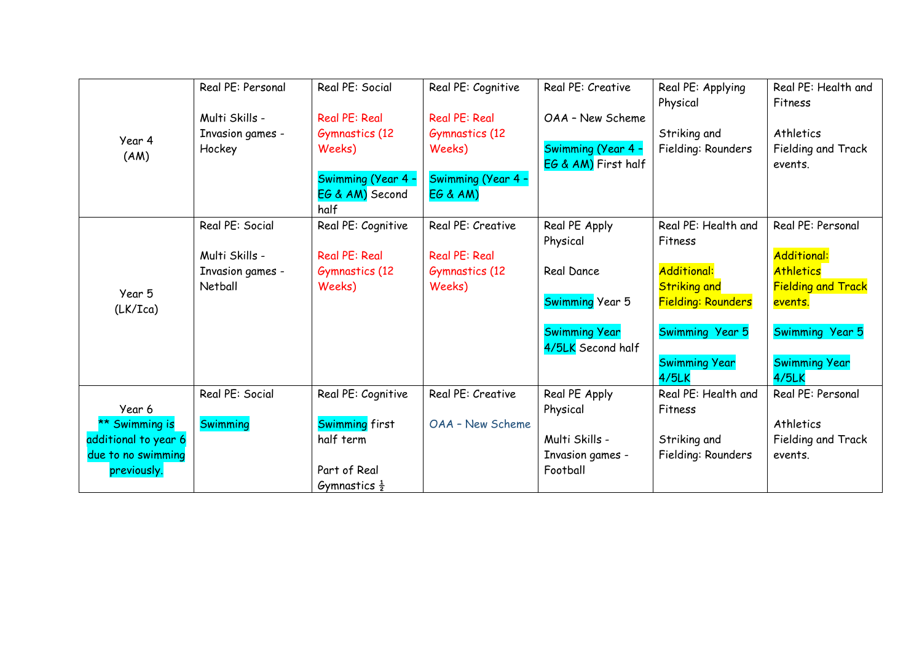|                      | Real PE: Personal | Real PE: Social          | Real PE: Cognitive    | Real PE: Creative      | Real PE: Applying         | Real PE: Health and       |
|----------------------|-------------------|--------------------------|-----------------------|------------------------|---------------------------|---------------------------|
| Year 4               |                   |                          |                       |                        | Physical                  | Fitness                   |
|                      | Multi Skills -    | <b>Real PE: Real</b>     | Real PE: Real         | OAA - New Scheme       |                           |                           |
|                      | Invasion games -  | <b>Gymnastics (12</b>    | <b>Gymnastics (12</b> |                        | Striking and              | Athletics                 |
| (AM)                 | Hockey            | Weeks)                   | Weeks)                | Swimming (Year 4 -     | Fielding: Rounders        | Fielding and Track        |
|                      |                   |                          |                       | EG & AM) First half    |                           | events.                   |
|                      |                   | Swimming (Year 4 -       | Swimming (Year 4 -    |                        |                           |                           |
|                      |                   | EG & AM) Second          | <b>EG &amp; AM)</b>   |                        |                           |                           |
|                      |                   | half                     |                       |                        |                           |                           |
|                      | Real PE: Social   | Real PE: Cognitive       | Real PE: Creative     | Real PE Apply          | Real PE: Health and       | Real PE: Personal         |
|                      |                   |                          |                       | Physical               | Fitness                   |                           |
|                      | Multi Skills -    | <b>Real PE: Real</b>     | <b>Real PE: Real</b>  |                        |                           | <b>Additional:</b>        |
|                      | Invasion games -  | <b>Gymnastics (12</b>    | <b>Gymnastics (12</b> | Real Dance             | <b>Additional:</b>        | <b>Athletics</b>          |
| Year 5               | Netball           | Weeks)                   | Weeks)                |                        | <b>Striking and</b>       | <b>Fielding and Track</b> |
| (LK/Ica)             |                   |                          |                       | <b>Swimming Year 5</b> | <b>Fielding: Rounders</b> | events.                   |
|                      |                   |                          |                       |                        |                           |                           |
|                      |                   |                          |                       | <b>Swimming Year</b>   | Swimming Year 5           | Swimming Year 5           |
|                      |                   |                          |                       | 4/5LK Second half      |                           |                           |
|                      |                   |                          |                       |                        | <b>Swimming Year</b>      | <b>Swimming Year</b>      |
|                      |                   |                          |                       |                        | 4/5LK                     | 4/5LK                     |
|                      | Real PE: Social   | Real PE: Cognitive       | Real PE: Creative     | Real PE Apply          | Real PE: Health and       | Real PE: Personal         |
| Year 6               |                   |                          |                       | Physical               | Fitness                   |                           |
| ** Swimming is       | <b>Swimming</b>   | <b>Swimming first</b>    | OAA - New Scheme      |                        |                           | Athletics                 |
| additional to year 6 |                   | half term                |                       | Multi Skills -         | Striking and              | Fielding and Track        |
| due to no swimming   |                   |                          |                       | Invasion games -       | Fielding: Rounders        | events.                   |
| previously.          |                   | Part of Real             |                       | Football               |                           |                           |
|                      |                   | Gymnastics $\frac{1}{2}$ |                       |                        |                           |                           |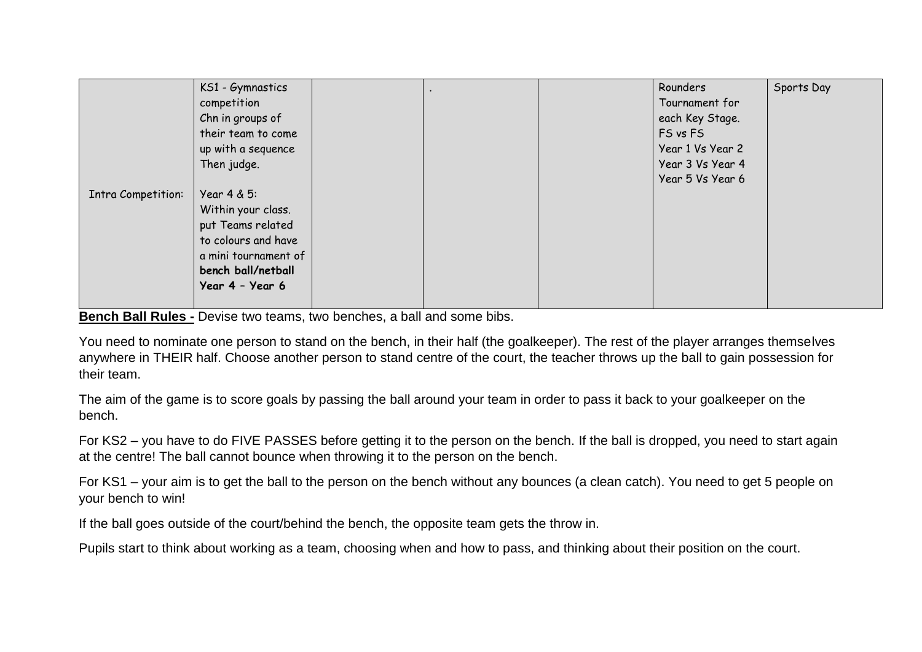|                    | KS1 - Gymnastics<br>competition<br>Chn in groups of<br>their team to come<br>up with a sequence                                                |  | Rounders<br>Tournament for<br>each Key Stage.<br>FS vs FS<br>Year 1 Vs Year 2 | Sports Day |
|--------------------|------------------------------------------------------------------------------------------------------------------------------------------------|--|-------------------------------------------------------------------------------|------------|
|                    | Then judge.                                                                                                                                    |  | Year 3 Vs Year 4<br>Year 5 Vs Year 6                                          |            |
| Intra Competition: | Year 4 & 5:<br>Within your class.<br>put Teams related<br>to colours and have<br>a mini tournament of<br>bench ball/netball<br>Year 4 - Year 6 |  |                                                                               |            |

**Bench Ball Rules -** Devise two teams, two benches, a ball and some bibs.

You need to nominate one person to stand on the bench, in their half (the goalkeeper). The rest of the player arranges themselves anywhere in THEIR half. Choose another person to stand centre of the court, the teacher throws up the ball to gain possession for their team.

The aim of the game is to score goals by passing the ball around your team in order to pass it back to your goalkeeper on the bench.

For KS2 – you have to do FIVE PASSES before getting it to the person on the bench. If the ball is dropped, you need to start again at the centre! The ball cannot bounce when throwing it to the person on the bench.

For KS1 – your aim is to get the ball to the person on the bench without any bounces (a clean catch). You need to get 5 people on your bench to win!

If the ball goes outside of the court/behind the bench, the opposite team gets the throw in.

Pupils start to think about working as a team, choosing when and how to pass, and thinking about their position on the court.